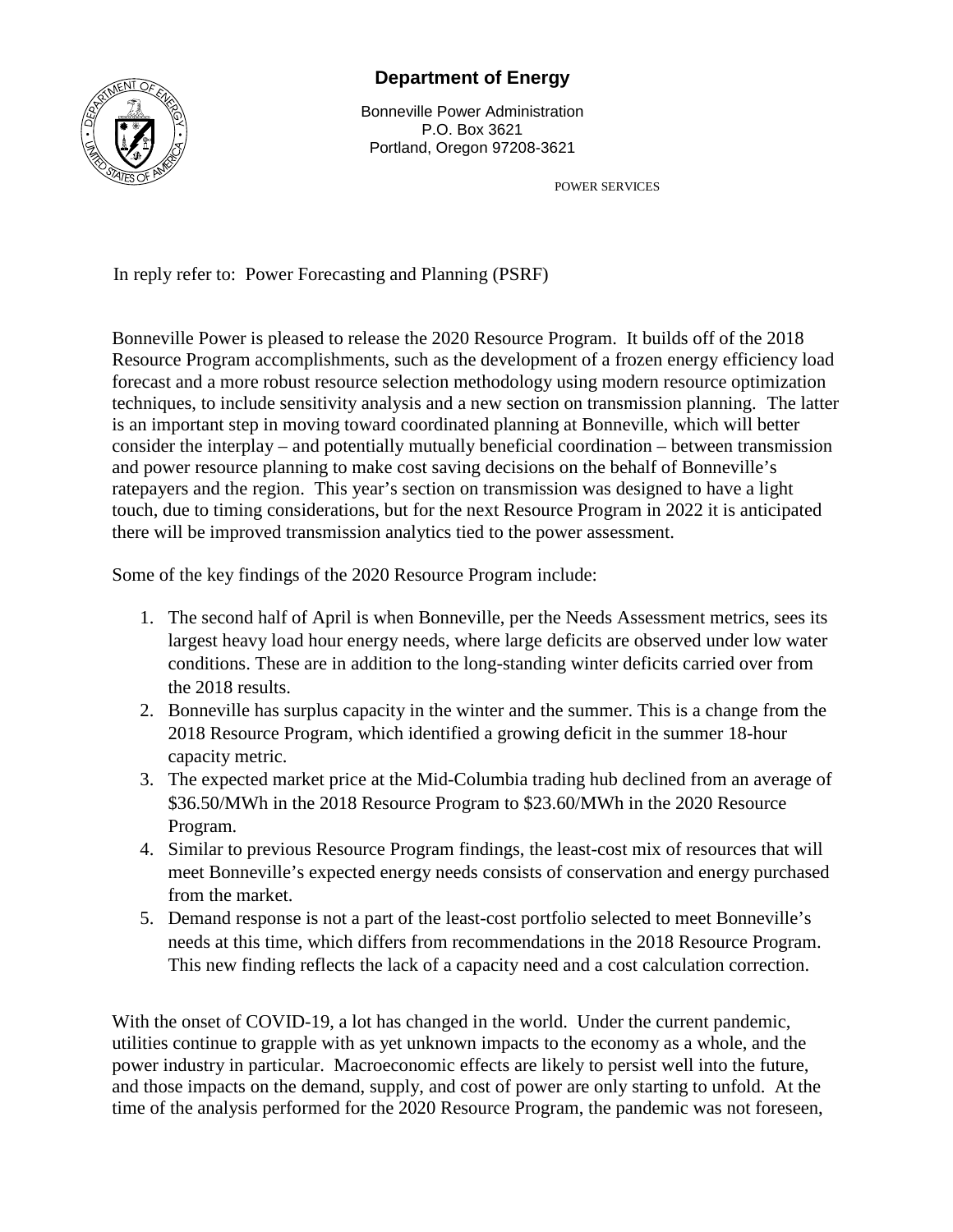

## **Department of Energy**

Bonneville Power Administration P.O. Box 3621 Portland, Oregon 97208-3621

POWER SERVICES

In reply refer to: Power Forecasting and Planning (PSRF)

Bonneville Power is pleased to release the 2020 Resource Program. It builds off of the 2018 Resource Program accomplishments, such as the development of a frozen energy efficiency load forecast and a more robust resource selection methodology using modern resource optimization techniques, to include sensitivity analysis and a new section on transmission planning. The latter is an important step in moving toward coordinated planning at Bonneville, which will better consider the interplay – and potentially mutually beneficial coordination – between transmission and power resource planning to make cost saving decisions on the behalf of Bonneville's ratepayers and the region. This year's section on transmission was designed to have a light touch, due to timing considerations, but for the next Resource Program in 2022 it is anticipated there will be improved transmission analytics tied to the power assessment.

Some of the key findings of the 2020 Resource Program include:

- 1. The second half of April is when Bonneville, per the Needs Assessment metrics, sees its largest heavy load hour energy needs, where large deficits are observed under low water conditions. These are in addition to the long-standing winter deficits carried over from the 2018 results.
- 2. Bonneville has surplus capacity in the winter and the summer. This is a change from the 2018 Resource Program, which identified a growing deficit in the summer 18-hour capacity metric.
- 3. The expected market price at the Mid-Columbia trading hub declined from an average of \$36.50/MWh in the 2018 Resource Program to \$23.60/MWh in the 2020 Resource Program.
- 4. Similar to previous Resource Program findings, the least-cost mix of resources that will meet Bonneville's expected energy needs consists of conservation and energy purchased from the market.
- 5. Demand response is not a part of the least-cost portfolio selected to meet Bonneville's needs at this time, which differs from recommendations in the 2018 Resource Program. This new finding reflects the lack of a capacity need and a cost calculation correction.

With the onset of COVID-19, a lot has changed in the world. Under the current pandemic, utilities continue to grapple with as yet unknown impacts to the economy as a whole, and the power industry in particular. Macroeconomic effects are likely to persist well into the future, and those impacts on the demand, supply, and cost of power are only starting to unfold. At the time of the analysis performed for the 2020 Resource Program, the pandemic was not foreseen,